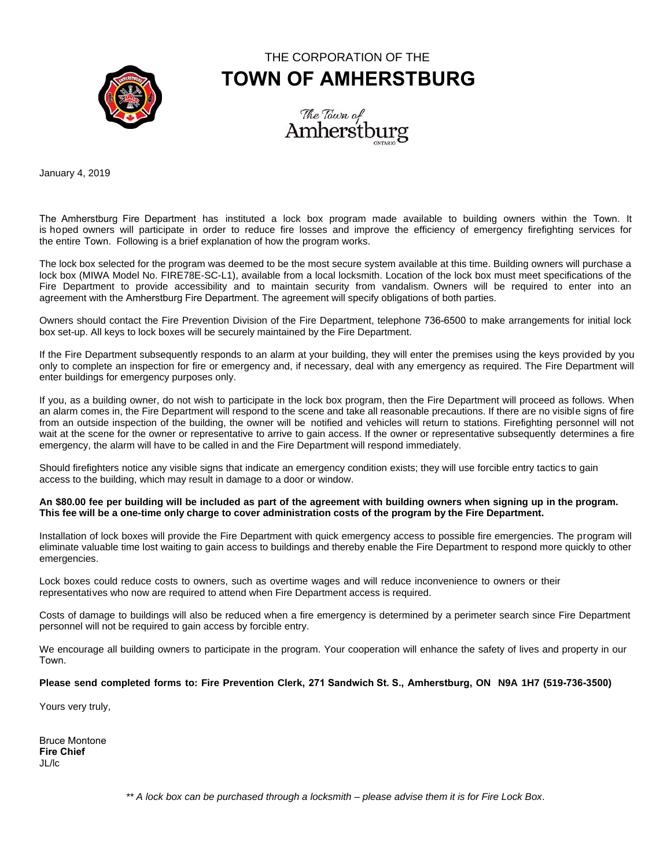

# THE CORPORATION OF THE **TOWN OF AMHERSTBURG**



January 4, 2019

The Amherstburg Fire Department has instituted a lock box program made available to building owners within the Town. It is hoped owners will participate in order to reduce fire losses and improve the efficiency of emergency firefighting services for the entire Town. Following is a brief explanation of how the program works.

The lock box selected for the program was deemed to be the most secure system available at this time. Building owners will purchase a lock box (MIWA Model No. FIRE78E-SC-L1), available from a local locksmith. Location of the lock box must meet specifications of the Fire Department to provide accessibility and to maintain security from vandalism. Owners will be required to enter into an agreement with the Amherstburg Fire Department. The agreement will specify obligations of both parties.

Owners should contact the Fire Prevention Division of the Fire Department, telephone 736-6500 to make arrangements for initial lock box set-up. All keys to lock boxes will be securely maintained by the Fire Department.

If the Fire Department subsequently responds to an alarm at your building, they will enter the premises using the keys provided by you only to complete an inspection for fire or emergency and, if necessary, deal with any emergency as required. The Fire Department will enter buildings for emergency purposes only.

If you, as a building owner, do not wish to participate in the lock box program, then the Fire Department will proceed as follows. When an alarm comes in, the Fire Department will respond to the scene and take all reasonable precautions. If there are no visible signs of fire from an outside inspection of the building, the owner will be notified and vehicles will return to stations. Firefighting personnel will not wait at the scene for the owner or representative to arrive to gain access. If the owner or representative subsequently determines a fire emergency, the alarm will have to be called in and the Fire Department will respond immediately.

Should firefighters notice any visible signs that indicate an emergency condition exists; they will use forcible entry tactics to gain access to the building, which may result in damage to a door or window.

#### **An \$80.00 fee per building will be included as part of the agreement with building owners when signing up in the program. This fee will be a one-time only charge to cover administration costs of the program by the Fire Department.**

Installation of lock boxes will provide the Fire Department with quick emergency access to possible fire emergencies. The program will eliminate valuable time lost waiting to gain access to buildings and thereby enable the Fire Department to respond more quickly to other emergencies.

Lock boxes could reduce costs to owners, such as overtime wages and will reduce inconvenience to owners or their representatives who now are required to attend when Fire Department access is required.

Costs of damage to buildings will also be reduced when a fire emergency is determined by a perimeter search since Fire Department personnel will not be required to gain access by forcible entry.

We encourage all building owners to participate in the program. Your cooperation will enhance the safety of lives and property in our Town.

### **Please send completed forms to: Fire Prevention Clerk, 271 Sandwich St. S., Amherstburg, ON N9A 1H7 (519-736-3500)**

Yours very truly,

Bruce Montone **Fire Chief** JL/lc

*\*\* A lock box can be purchased through a locksmith – please advise them it is for Fire Lock Box*.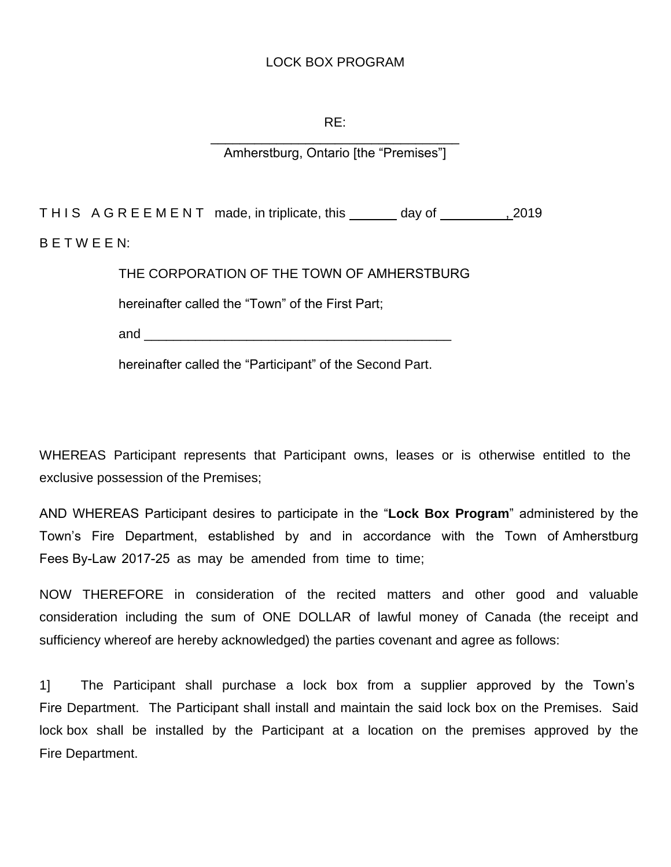## LOCK BOX PROGRAM

## RE:

\_\_\_\_\_\_\_\_\_\_\_\_\_\_\_\_\_\_\_\_\_\_\_\_\_\_\_\_\_\_\_\_\_\_ Amherstburg, Ontario [the "Premises"]

THIS AGREEMENT made, in triplicate, this \_\_\_\_\_\_\_ day of \_\_\_\_\_\_\_\_\_\_\_\_\_\_\_\_\_\_\_\_\_\_\_\_ B E T W E E N:

THE CORPORATION OF THE TOWN OF AMHERSTBURG

hereinafter called the "Town" of the First Part;

and  $\Box$ 

hereinafter called the "Participant" of the Second Part.

WHEREAS Participant represents that Participant owns, leases or is otherwise entitled to the exclusive possession of the Premises;

AND WHEREAS Participant desires to participate in the "**Lock Box Program**" administered by the Town's Fire Department, established by and in accordance with the Town of Amherstburg Fees By-Law 2017-25 as may be amended from time to time;

NOW THEREFORE in consideration of the recited matters and other good and valuable consideration including the sum of ONE DOLLAR of lawful money of Canada (the receipt and sufficiency whereof are hereby acknowledged) the parties covenant and agree as follows:

1] The Participant shall purchase a lock box from a supplier approved by the Town's Fire Department. The Participant shall install and maintain the said lock box on the Premises. Said lock box shall be installed by the Participant at a location on the premises approved by the Fire Department.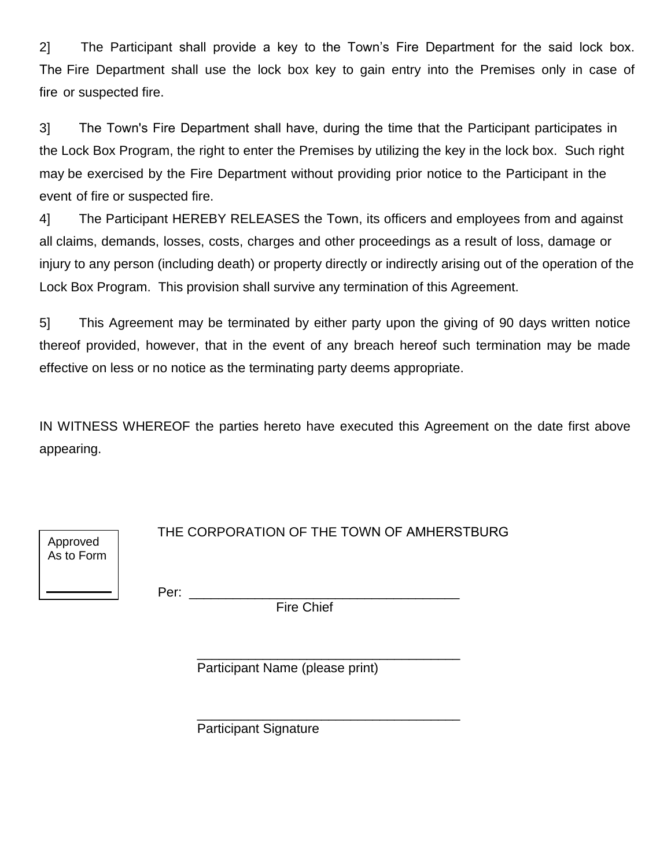2] The Participant shall provide a key to the Town's Fire Department for the said lock box. The Fire Department shall use the lock box key to gain entry into the Premises only in case of fire or suspected fire.

3] The Town's Fire Department shall have, during the time that the Participant participates in the Lock Box Program, the right to enter the Premises by utilizing the key in the lock box. Such right may be exercised by the Fire Department without providing prior notice to the Participant in the event of fire or suspected fire.

4] The Participant HEREBY RELEASES the Town, its officers and employees from and against all claims, demands, losses, costs, charges and other proceedings as a result of loss, damage or injury to any person (including death) or property directly or indirectly arising out of the operation of the Lock Box Program. This provision shall survive any termination of this Agreement.

5] This Agreement may be terminated by either party upon the giving of 90 days written notice thereof provided, however, that in the event of any breach hereof such termination may be made effective on less or no notice as the terminating party deems appropriate.

IN WITNESS WHEREOF the parties hereto have executed this Agreement on the date first above appearing.

Per: \_\_\_\_\_\_\_\_\_\_\_\_\_\_\_\_\_\_\_\_\_\_\_\_\_\_\_\_\_\_\_\_\_\_\_\_\_

Approved As to Form

Fire Chief

\_\_\_\_\_\_\_\_\_\_\_\_\_\_\_\_\_\_\_\_\_\_\_\_\_\_\_\_\_\_\_\_\_\_\_\_ Participant Name (please print)

\_\_\_\_\_\_\_\_\_\_\_\_\_\_\_\_\_\_\_\_\_\_\_\_\_\_\_\_\_\_\_\_\_\_\_\_ Participant Signature